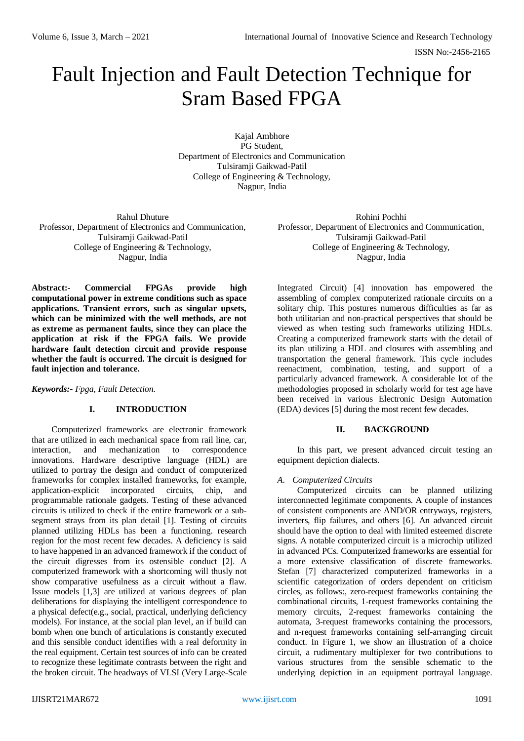ISSN No:-2456-2165

# Fault Injection and Fault Detection Technique for Sram Based FPGA

Kajal Ambhore PG Student, Department of Electronics and Communication Tulsiramji Gaikwad-Patil College of Engineering & Technology, Nagpur, India

Rahul Dhuture Professor, Department of Electronics and Communication, Tulsiramji Gaikwad-Patil College of Engineering & Technology, Nagpur, India

**Abstract:- Commercial FPGAs provide high computational power in extreme conditions such as space applications. Transient errors, such as singular upsets, which can be minimized with the well methods, are not as extreme as permanent faults, since they can place the application at risk if the FPGA fails. We provide hardware fault detection circuit and provide response whether the fault is occurred. The circuit is designed for fault injection and tolerance.**

*Keywords:- Fpga, Fault Detection.*

## **I. INTRODUCTION**

Computerized frameworks are electronic framework that are utilized in each mechanical space from rail line, car, interaction, and mechanization to correspondence innovations. Hardware descriptive language (HDL) are utilized to portray the design and conduct of computerized frameworks for complex installed frameworks, for example, application-explicit incorporated circuits, chip, and programmable rationale gadgets. Testing of these advanced circuits is utilized to check if the entire framework or a subsegment strays from its plan detail [1]. Testing of circuits planned utilizing HDLs has been a functioning. research region for the most recent few decades. A deficiency is said to have happened in an advanced framework if the conduct of the circuit digresses from its ostensible conduct [2]. A computerized framework with a shortcoming will thusly not show comparative usefulness as a circuit without a flaw. Issue models [1,3] are utilized at various degrees of plan deliberations for displaying the intelligent correspondence to a physical defect(e.g., social, practical, underlying deficiency models). For instance, at the social plan level, an if build can bomb when one bunch of articulations is constantly executed and this sensible conduct identifies with a real deformity in the real equipment. Certain test sources of info can be created to recognize these legitimate contrasts between the right and the broken circuit. The headways of VLSI (Very Large-Scale

Rohini Pochhi Professor, Department of Electronics and Communication, Tulsiramji Gaikwad-Patil College of Engineering & Technology, Nagpur, India

Integrated Circuit) [4] innovation has empowered the assembling of complex computerized rationale circuits on a solitary chip. This postures numerous difficulties as far as both utilitarian and non-practical perspectives that should be viewed as when testing such frameworks utilizing HDLs. Creating a computerized framework starts with the detail of its plan utilizing a HDL and closures with assembling and transportation the general framework. This cycle includes reenactment, combination, testing, and support of a particularly advanced framework. A considerable lot of the methodologies proposed in scholarly world for test age have been received in various Electronic Design Automation (EDA) devices [5] during the most recent few decades.

## **II. BACKGROUND**

In this part, we present advanced circuit testing an equipment depiction dialects.

## *A. Computerized Circuits*

Computerized circuits can be planned utilizing interconnected legitimate components. A couple of instances of consistent components are AND/OR entryways, registers, inverters, flip failures, and others [6]. An advanced circuit should have the option to deal with limited esteemed discrete signs. A notable computerized circuit is a microchip utilized in advanced PCs. Computerized frameworks are essential for a more extensive classification of discrete frameworks. Stefan [7] characterized computerized frameworks in a scientific categorization of orders dependent on criticism circles, as follows:, zero-request frameworks containing the combinational circuits, 1-request frameworks containing the memory circuits, 2-request frameworks containing the automata, 3-request frameworks containing the processors, and n-request frameworks containing self-arranging circuit conduct. In Figure 1, we show an illustration of a choice circuit, a rudimentary multiplexer for two contributions to various structures from the sensible schematic to the underlying depiction in an equipment portrayal language.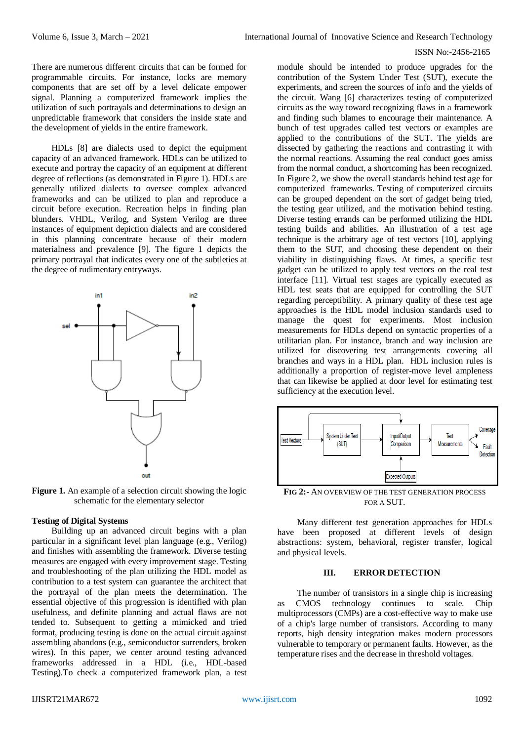#### ISSN No:-2456-2165

There are numerous different circuits that can be formed for programmable circuits. For instance, locks are memory components that are set off by a level delicate empower signal. Planning a computerized framework implies the utilization of such portrayals and determinations to design an unpredictable framework that considers the inside state and the development of yields in the entire framework.

HDLs [8] are dialects used to depict the equipment capacity of an advanced framework. HDLs can be utilized to execute and portray the capacity of an equipment at different degree of reflections (as demonstrated in Figure 1). HDLs are generally utilized dialects to oversee complex advanced frameworks and can be utilized to plan and reproduce a circuit before execution. Recreation helps in finding plan blunders. VHDL, Verilog, and System Verilog are three instances of equipment depiction dialects and are considered in this planning concentrate because of their modern materialness and prevalence [9]. The figure 1 depicts the primary portrayal that indicates every one of the subtleties at the degree of rudimentary entryways.



Figure 1. An example of a selection circuit showing the logic schematic for the elementary selector

#### **Testing of Digital Systems**

Building up an advanced circuit begins with a plan particular in a significant level plan language (e.g., Verilog) and finishes with assembling the framework. Diverse testing measures are engaged with every improvement stage. Testing and troubleshooting of the plan utilizing the HDL model as contribution to a test system can guarantee the architect that the portrayal of the plan meets the determination. The essential objective of this progression is identified with plan usefulness, and definite planning and actual flaws are not tended to. Subsequent to getting a mimicked and tried format, producing testing is done on the actual circuit against assembling abandons (e.g., semiconductor surrenders, broken wires). In this paper, we center around testing advanced frameworks addressed in a HDL (i.e., HDL-based Testing).To check a computerized framework plan, a test

module should be intended to produce upgrades for the contribution of the System Under Test (SUT), execute the experiments, and screen the sources of info and the yields of the circuit. Wang [6] characterizes testing of computerized circuits as the way toward recognizing flaws in a framework and finding such blames to encourage their maintenance. A bunch of test upgrades called test vectors or examples are applied to the contributions of the SUT. The yields are dissected by gathering the reactions and contrasting it with the normal reactions. Assuming the real conduct goes amiss from the normal conduct, a shortcoming has been recognized. In Figure 2, we show the overall standards behind test age for computerized frameworks. Testing of computerized circuits can be grouped dependent on the sort of gadget being tried, the testing gear utilized, and the motivation behind testing. Diverse testing errands can be performed utilizing the HDL testing builds and abilities. An illustration of a test age technique is the arbitrary age of test vectors [10], applying them to the SUT, and choosing these dependent on their viability in distinguishing flaws. At times, a specific test gadget can be utilized to apply test vectors on the real test interface [11]. Virtual test stages are typically executed as HDL test seats that are equipped for controlling the SUT regarding perceptibility. A primary quality of these test age approaches is the HDL model inclusion standards used to manage the quest for experiments. Most inclusion measurements for HDLs depend on syntactic properties of a utilitarian plan. For instance, branch and way inclusion are utilized for discovering test arrangements covering all branches and ways in a HDL plan. HDL inclusion rules is additionally a proportion of register-move level ampleness that can likewise be applied at door level for estimating test sufficiency at the execution level.



**FIG 2:-** AN OVERVIEW OF THE TEST GENERATION PROCESS FOR A SUT.

Many different test generation approaches for HDLs have been proposed at different levels of design abstractions: system, behavioral, register transfer, logical and physical levels.

#### **III. ERROR DETECTION**

The number of transistors in a single chip is increasing as CMOS technology continues to scale. Chip multiprocessors (CMPs) are a cost-effective way to make use of a chip's large number of transistors. According to many reports, high density integration makes modern processors vulnerable to temporary or permanent faults. However, as the temperature rises and the decrease in threshold voltages.